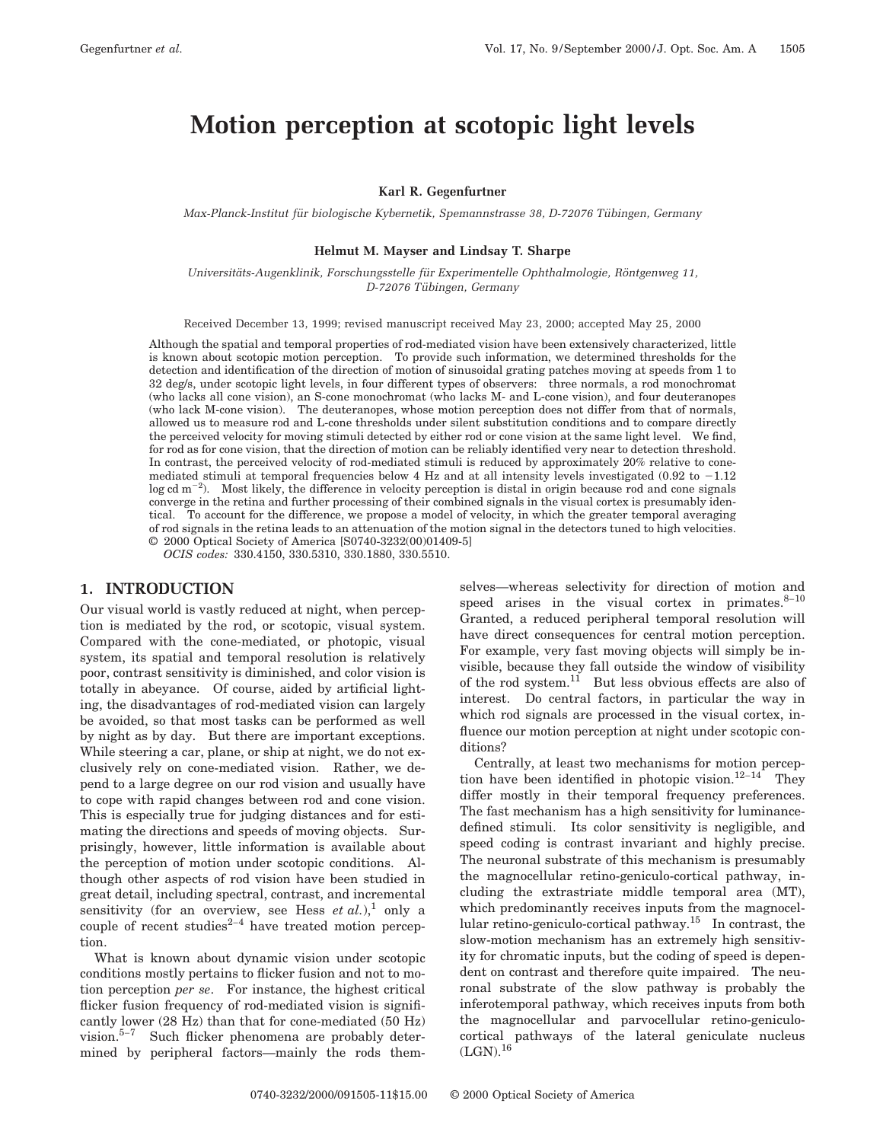# **Motion perception at scotopic light levels**

### **Karl R. Gegenfurtner**

*Max-Planck-Institut fu¨r biologische Kybernetik, Spemannstrasse 38, D-72076 Tu¨ bingen, Germany*

#### **Helmut M. Mayser and Lindsay T. Sharpe**

*Universita¨ts-Augenklinik, Forschungsstelle fu¨r Experimentelle Ophthalmologie, Ro¨ntgenweg 11, D-72076 Tu¨ bingen, Germany*

Received December 13, 1999; revised manuscript received May 23, 2000; accepted May 25, 2000

Although the spatial and temporal properties of rod-mediated vision have been extensively characterized, little is known about scotopic motion perception. To provide such information, we determined thresholds for the detection and identification of the direction of motion of sinusoidal grating patches moving at speeds from 1 to 32 deg/s, under scotopic light levels, in four different types of observers: three normals, a rod monochromat (who lacks all cone vision), an S-cone monochromat (who lacks M- and L-cone vision), and four deuteranopes (who lack M-cone vision). The deuteranopes, whose motion perception does not differ from that of normals, allowed us to measure rod and L-cone thresholds under silent substitution conditions and to compare directly the perceived velocity for moving stimuli detected by either rod or cone vision at the same light level. We find, for rod as for cone vision, that the direction of motion can be reliably identified very near to detection threshold. In contrast, the perceived velocity of rod-mediated stimuli is reduced by approximately 20% relative to conemediated stimuli at temporal frequencies below 4 Hz and at all intensity levels investigated (0.92 to  $-1.12$ )  $\log$  cd m<sup>-2</sup>). Most likely, the difference in velocity perception is distal in origin because rod and cone signals converge in the retina and further processing of their combined signals in the visual cortex is presumably identical. To account for the difference, we propose a model of velocity, in which the greater temporal averaging of rod signals in the retina leads to an attenuation of the motion signal in the detectors tuned to high velocities. © 2000 Optical Society of America [S0740-3232(00)01409-5]

*OCIS codes:* 330.4150, 330.5310, 330.1880, 330.5510.

## **1. INTRODUCTION**

Our visual world is vastly reduced at night, when perception is mediated by the rod, or scotopic, visual system. Compared with the cone-mediated, or photopic, visual system, its spatial and temporal resolution is relatively poor, contrast sensitivity is diminished, and color vision is totally in abeyance. Of course, aided by artificial lighting, the disadvantages of rod-mediated vision can largely be avoided, so that most tasks can be performed as well by night as by day. But there are important exceptions. While steering a car, plane, or ship at night, we do not exclusively rely on cone-mediated vision. Rather, we depend to a large degree on our rod vision and usually have to cope with rapid changes between rod and cone vision. This is especially true for judging distances and for estimating the directions and speeds of moving objects. Surprisingly, however, little information is available about the perception of motion under scotopic conditions. Although other aspects of rod vision have been studied in great detail, including spectral, contrast, and incremental sensitivity (for an overview, see Hess  $et al.,$ <sup>1</sup> only a couple of recent studies $2-4$  have treated motion perception.

What is known about dynamic vision under scotopic conditions mostly pertains to flicker fusion and not to motion perception *per se*. For instance, the highest critical flicker fusion frequency of rod-mediated vision is significantly lower (28 Hz) than that for cone-mediated (50 Hz) vision.5–<sup>7</sup> Such flicker phenomena are probably determined by peripheral factors—mainly the rods themselves—whereas selectivity for direction of motion and speed arises in the visual cortex in primates. $8-10$ Granted, a reduced peripheral temporal resolution will have direct consequences for central motion perception. For example, very fast moving objects will simply be invisible, because they fall outside the window of visibility of the rod system.<sup>11</sup> But less obvious effects are also of interest. Do central factors, in particular the way in which rod signals are processed in the visual cortex, influence our motion perception at night under scotopic conditions?

Centrally, at least two mechanisms for motion perception have been identified in photopic vision.<sup>12–14</sup> They differ mostly in their temporal frequency preferences. The fast mechanism has a high sensitivity for luminancedefined stimuli. Its color sensitivity is negligible, and speed coding is contrast invariant and highly precise. The neuronal substrate of this mechanism is presumably the magnocellular retino-geniculo-cortical pathway, including the extrastriate middle temporal area (MT), which predominantly receives inputs from the magnocellular retino-geniculo-cortical pathway.15 In contrast, the slow-motion mechanism has an extremely high sensitivity for chromatic inputs, but the coding of speed is dependent on contrast and therefore quite impaired. The neuronal substrate of the slow pathway is probably the inferotemporal pathway, which receives inputs from both the magnocellular and parvocellular retino-geniculocortical pathways of the lateral geniculate nucleus  $(LGN).$ <sup>16</sup>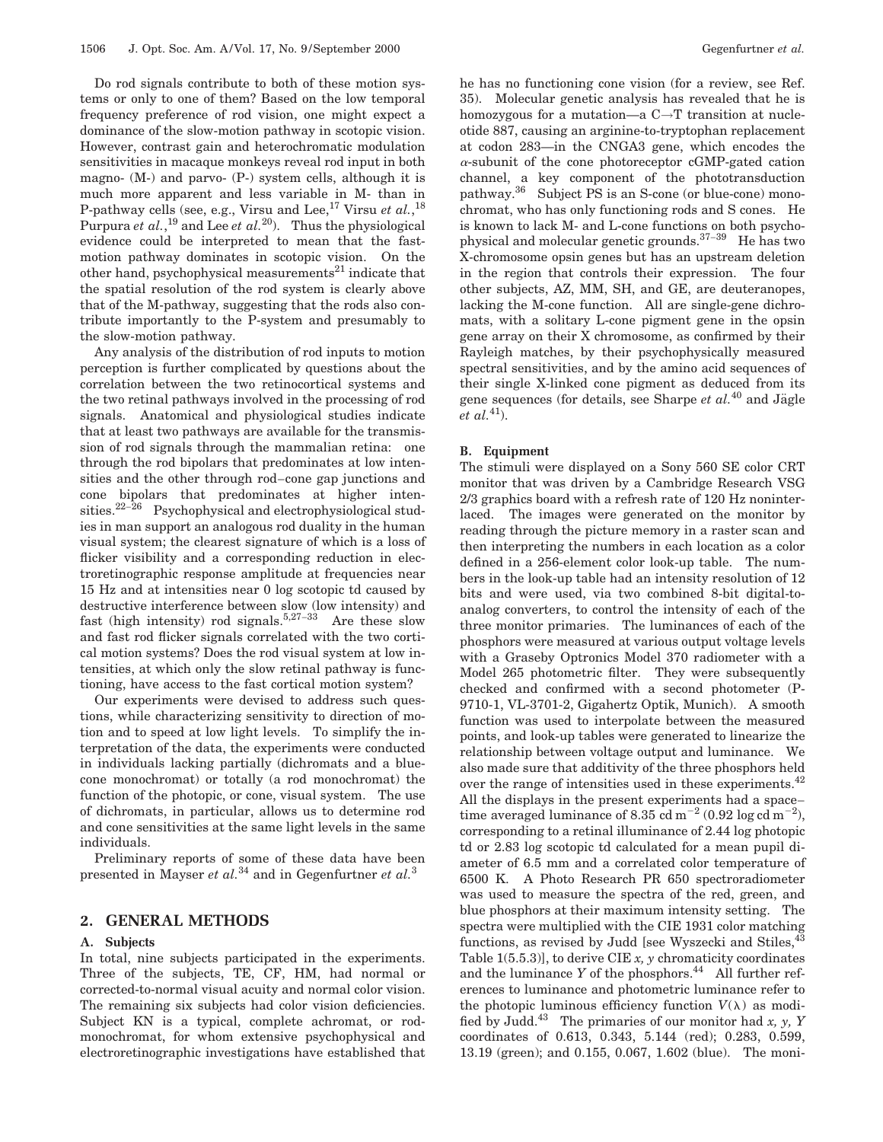Do rod signals contribute to both of these motion systems or only to one of them? Based on the low temporal frequency preference of rod vision, one might expect a dominance of the slow-motion pathway in scotopic vision. However, contrast gain and heterochromatic modulation sensitivities in macaque monkeys reveal rod input in both magno-  $(M-)$  and parvo-  $(P-)$  system cells, although it is much more apparent and less variable in M- than in P-pathway cells (see, e.g., Virsu and Lee,  $^{17}$  Virsu *et al.*,  $^{18}$ Purpura *et al.*, <sup>19</sup> and Lee *et al.*20). Thus the physiological evidence could be interpreted to mean that the fastmotion pathway dominates in scotopic vision. On the other hand, psychophysical measurements $^{21}$  indicate that the spatial resolution of the rod system is clearly above that of the M-pathway, suggesting that the rods also contribute importantly to the P-system and presumably to the slow-motion pathway.

Any analysis of the distribution of rod inputs to motion perception is further complicated by questions about the correlation between the two retinocortical systems and the two retinal pathways involved in the processing of rod signals. Anatomical and physiological studies indicate that at least two pathways are available for the transmission of rod signals through the mammalian retina: one through the rod bipolars that predominates at low intensities and the other through rod–cone gap junctions and cone bipolars that predominates at higher intensities.22–<sup>26</sup> Psychophysical and electrophysiological studies in man support an analogous rod duality in the human visual system; the clearest signature of which is a loss of flicker visibility and a corresponding reduction in electroretinographic response amplitude at frequencies near 15 Hz and at intensities near 0 log scotopic td caused by destructive interference between slow (low intensity) and fast (high intensity) rod signals.<sup>5,27–33</sup> Are these slow and fast rod flicker signals correlated with the two cortical motion systems? Does the rod visual system at low intensities, at which only the slow retinal pathway is functioning, have access to the fast cortical motion system?

Our experiments were devised to address such questions, while characterizing sensitivity to direction of motion and to speed at low light levels. To simplify the interpretation of the data, the experiments were conducted in individuals lacking partially (dichromats and a bluecone monochromat) or totally (a rod monochromat) the function of the photopic, or cone, visual system. The use of dichromats, in particular, allows us to determine rod and cone sensitivities at the same light levels in the same individuals.

Preliminary reports of some of these data have been presented in Mayser *et al.*<sup>34</sup> and in Gegenfurtner *et al.*<sup>3</sup>

## **2. GENERAL METHODS**

#### **A. Subjects**

In total, nine subjects participated in the experiments. Three of the subjects, TE, CF, HM, had normal or corrected-to-normal visual acuity and normal color vision. The remaining six subjects had color vision deficiencies. Subject KN is a typical, complete achromat, or rodmonochromat, for whom extensive psychophysical and electroretinographic investigations have established that he has no functioning cone vision (for a review, see Ref. 35). Molecular genetic analysis has revealed that he is homozygous for a mutation—a C→T transition at nucleotide 887, causing an arginine-to-tryptophan replacement at codon 283—in the CNGA3 gene, which encodes the  $\alpha$ -subunit of the cone photoreceptor cGMP-gated cation channel, a key component of the phototransduction pathway.36 Subject PS is an S-cone (or blue-cone) monochromat, who has only functioning rods and S cones. He is known to lack M- and L-cone functions on both psychophysical and molecular genetic grounds.37–<sup>39</sup> He has two X-chromosome opsin genes but has an upstream deletion in the region that controls their expression. The four other subjects, AZ, MM, SH, and GE, are deuteranopes, lacking the M-cone function. All are single-gene dichromats, with a solitary L-cone pigment gene in the opsin gene array on their X chromosome, as confirmed by their Rayleigh matches, by their psychophysically measured spectral sensitivities, and by the amino acid sequences of their single X-linked cone pigment as deduced from its gene sequences (for details, see Sharpe  $et al.<sup>40</sup>$  and Jägle *et al.*<sup>41</sup>).

#### **B. Equipment**

The stimuli were displayed on a Sony 560 SE color CRT monitor that was driven by a Cambridge Research VSG 2/3 graphics board with a refresh rate of 120 Hz noninterlaced. The images were generated on the monitor by reading through the picture memory in a raster scan and then interpreting the numbers in each location as a color defined in a 256-element color look-up table. The numbers in the look-up table had an intensity resolution of 12 bits and were used, via two combined 8-bit digital-toanalog converters, to control the intensity of each of the three monitor primaries. The luminances of each of the phosphors were measured at various output voltage levels with a Graseby Optronics Model 370 radiometer with a Model 265 photometric filter. They were subsequently checked and confirmed with a second photometer (P-9710-1, VL-3701-2, Gigahertz Optik, Munich). A smooth function was used to interpolate between the measured points, and look-up tables were generated to linearize the relationship between voltage output and luminance. We also made sure that additivity of the three phosphors held over the range of intensities used in these experiments.<sup>42</sup> All the displays in the present experiments had a space– time averaged luminance of 8.35 cd m<sup>-2</sup> (0.92 log cd m<sup>-2</sup>), corresponding to a retinal illuminance of 2.44 log photopic td or 2.83 log scotopic td calculated for a mean pupil diameter of 6.5 mm and a correlated color temperature of 6500 K. A Photo Research PR 650 spectroradiometer was used to measure the spectra of the red, green, and blue phosphors at their maximum intensity setting. The spectra were multiplied with the CIE 1931 color matching functions, as revised by Judd [see Wyszecki and Stiles,433] Table 1(5.5.3)], to derive CIE *x, y* chromaticity coordinates and the luminance  $Y$  of the phosphors.<sup>44</sup> All further references to luminance and photometric luminance refer to the photopic luminous efficiency function  $V(\lambda)$  as modified by Judd.43 The primaries of our monitor had *x, y, Y* coordinates of 0.613, 0.343, 5.144 (red); 0.283, 0.599, 13.19 (green); and 0.155, 0.067, 1.602 (blue). The moni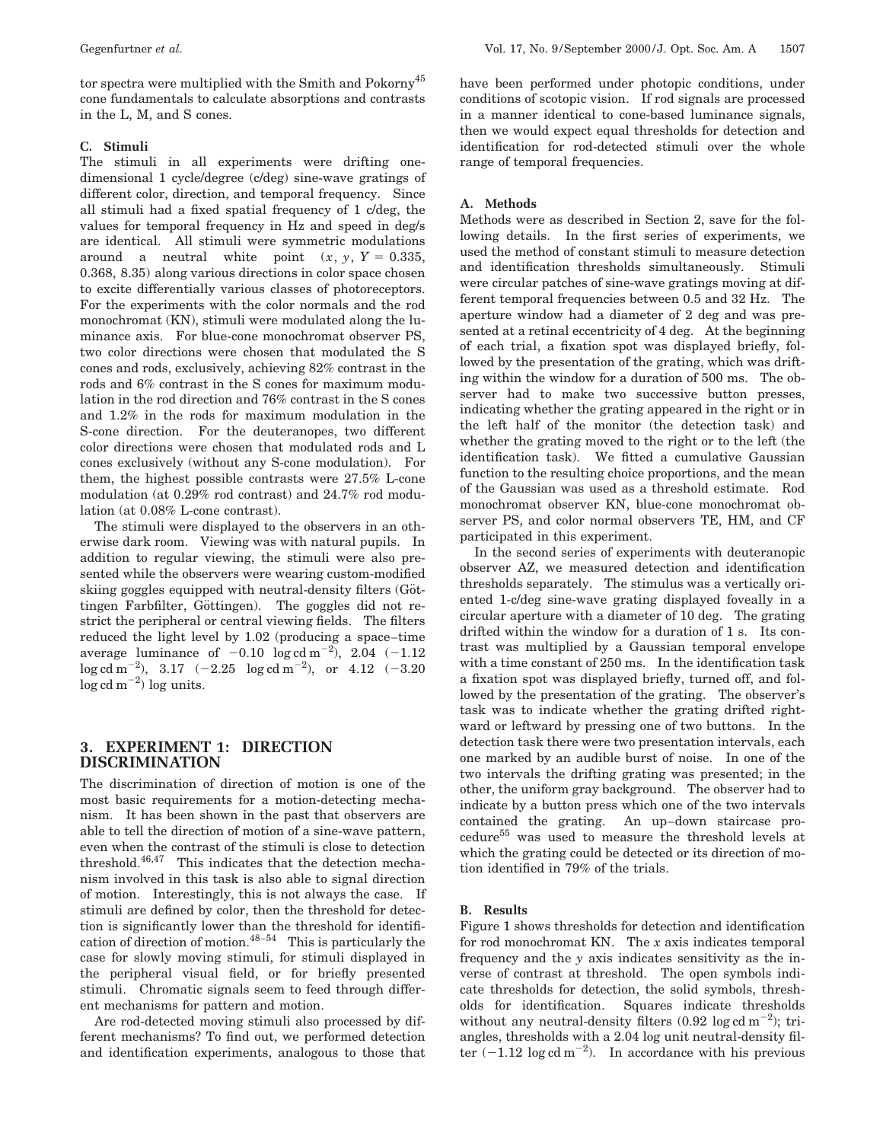tor spectra were multiplied with the Smith and Pokorny<sup>45</sup> cone fundamentals to calculate absorptions and contrasts in the L, M, and S cones.

### **C. Stimuli**

The stimuli in all experiments were drifting onedimensional 1 cycle/degree (c/deg) sine-wave gratings of different color, direction, and temporal frequency. Since all stimuli had a fixed spatial frequency of 1 c/deg, the values for temporal frequency in Hz and speed in deg/s are identical. All stimuli were symmetric modulations around a neutral white point  $(x, y, Y = 0.335,$ 0.368, 8.35) along various directions in color space chosen to excite differentially various classes of photoreceptors. For the experiments with the color normals and the rod monochromat (KN), stimuli were modulated along the luminance axis. For blue-cone monochromat observer PS, two color directions were chosen that modulated the S cones and rods, exclusively, achieving 82% contrast in the rods and 6% contrast in the S cones for maximum modulation in the rod direction and 76% contrast in the S cones and 1.2% in the rods for maximum modulation in the S-cone direction. For the deuteranopes, two different color directions were chosen that modulated rods and L cones exclusively (without any S-cone modulation). For them, the highest possible contrasts were 27.5% L-cone modulation (at 0.29% rod contrast) and 24.7% rod modulation (at 0.08% L-cone contrast).

The stimuli were displayed to the observers in an otherwise dark room. Viewing was with natural pupils. In addition to regular viewing, the stimuli were also presented while the observers were wearing custom-modified skiing goggles equipped with neutral-density filters (Göttingen Farbfilter, Göttingen). The goggles did not restrict the peripheral or central viewing fields. The filters reduced the light level by 1.02 (producing a space–time average luminance of  $-0.10$  log cd m<sup>-2</sup>), 2.04  $(-1.12)$  $\log{\rm cd}\ {\rm m}^{-2}$ ),  $\,$  3.17  $\,$   $\,$   $\,$   $\sim$   $\,2.25$   $\,$   $\,$   $\log{\rm cd}\ {\rm m}^{-2}$ ),  $\,$  or  $\,$   $\,$  4.12  $\,$   $\,$   $\sim$   $\,3.20$  $\log$  cd m<sup>-2</sup>) log units.

# **3. EXPERIMENT 1: DIRECTION DISCRIMINATION**

The discrimination of direction of motion is one of the most basic requirements for a motion-detecting mechanism. It has been shown in the past that observers are able to tell the direction of motion of a sine-wave pattern, even when the contrast of the stimuli is close to detection threshold.46,47 This indicates that the detection mechanism involved in this task is also able to signal direction of motion. Interestingly, this is not always the case. If stimuli are defined by color, then the threshold for detection is significantly lower than the threshold for identification of direction of motion. $48-54$  This is particularly the case for slowly moving stimuli, for stimuli displayed in the peripheral visual field, or for briefly presented stimuli. Chromatic signals seem to feed through different mechanisms for pattern and motion.

Are rod-detected moving stimuli also processed by different mechanisms? To find out, we performed detection and identification experiments, analogous to those that have been performed under photopic conditions, under conditions of scotopic vision. If rod signals are processed in a manner identical to cone-based luminance signals, then we would expect equal thresholds for detection and identification for rod-detected stimuli over the whole range of temporal frequencies.

### **A. Methods**

Methods were as described in Section 2, save for the following details. In the first series of experiments, we used the method of constant stimuli to measure detection and identification thresholds simultaneously. Stimuli were circular patches of sine-wave gratings moving at different temporal frequencies between 0.5 and 32 Hz. The aperture window had a diameter of 2 deg and was presented at a retinal eccentricity of 4 deg. At the beginning of each trial, a fixation spot was displayed briefly, followed by the presentation of the grating, which was drifting within the window for a duration of 500 ms. The observer had to make two successive button presses, indicating whether the grating appeared in the right or in the left half of the monitor (the detection task) and whether the grating moved to the right or to the left (the identification task). We fitted a cumulative Gaussian function to the resulting choice proportions, and the mean of the Gaussian was used as a threshold estimate. Rod monochromat observer KN, blue-cone monochromat observer PS, and color normal observers TE, HM, and CF participated in this experiment.

In the second series of experiments with deuteranopic observer AZ, we measured detection and identification thresholds separately. The stimulus was a vertically oriented 1-c/deg sine-wave grating displayed foveally in a circular aperture with a diameter of 10 deg. The grating drifted within the window for a duration of 1 s. Its contrast was multiplied by a Gaussian temporal envelope with a time constant of 250 ms. In the identification task a fixation spot was displayed briefly, turned off, and followed by the presentation of the grating. The observer's task was to indicate whether the grating drifted rightward or leftward by pressing one of two buttons. In the detection task there were two presentation intervals, each one marked by an audible burst of noise. In one of the two intervals the drifting grating was presented; in the other, the uniform gray background. The observer had to indicate by a button press which one of the two intervals contained the grating. An up–down staircase procedure<sup>55</sup> was used to measure the threshold levels at which the grating could be detected or its direction of motion identified in 79% of the trials.

## **B. Results**

Figure 1 shows thresholds for detection and identification for rod monochromat KN. The *x* axis indicates temporal frequency and the *y* axis indicates sensitivity as the inverse of contrast at threshold. The open symbols indicate thresholds for detection, the solid symbols, thresholds for identification. Squares indicate thresholds without any neutral-density filters  $(0.92 \log \text{cd m}^{-2})$ ; triangles, thresholds with a 2.04 log unit neutral-density filter  $(-1.12 \log \text{cd m}^{-2})$ . In accordance with his previous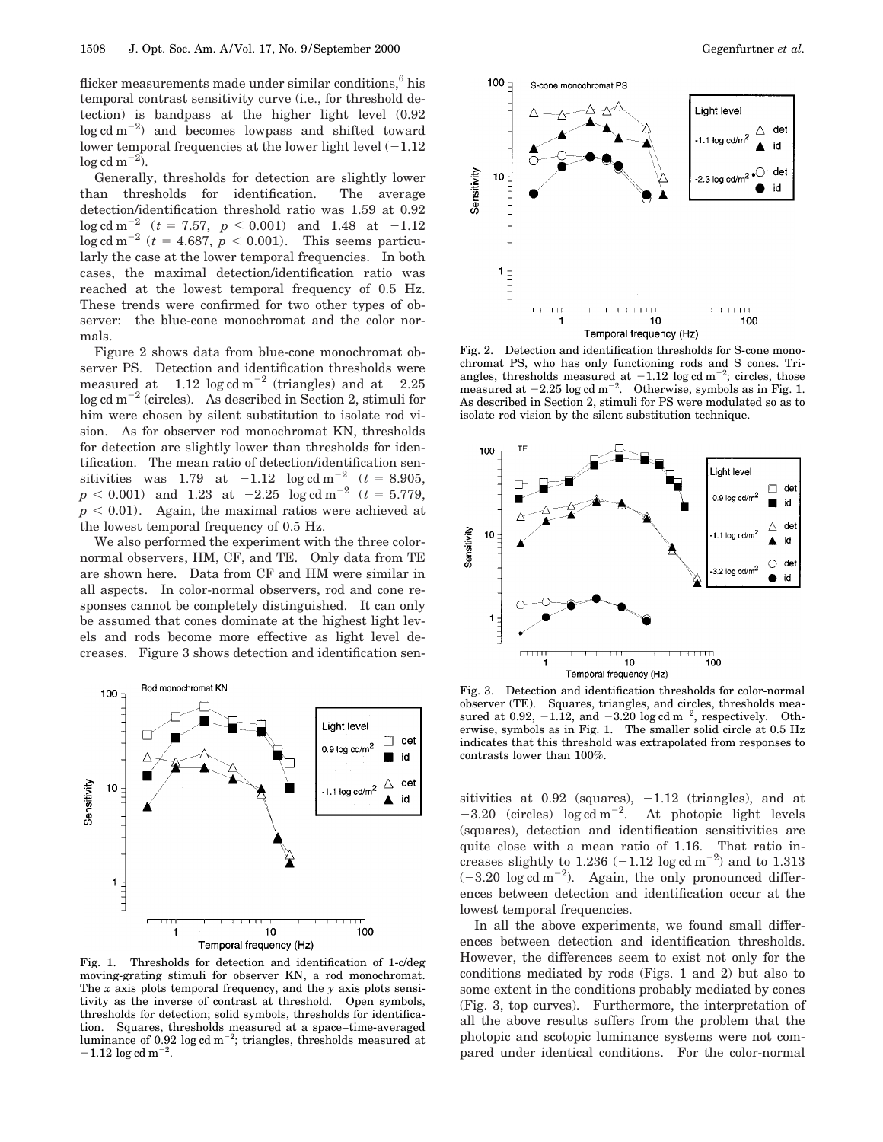flicker measurements made under similar conditions,<sup>6</sup> his temporal contrast sensitivity curve (i.e., for threshold detection) is bandpass at the higher light level (0.92  $\log$  cd m<sup>-2</sup>) and becomes lowpass and shifted toward lower temporal frequencies at the lower light level  $(-1.12)$  $\log$  cd m<sup>-2</sup>).

Generally, thresholds for detection are slightly lower than thresholds for identification. The average detection/identification threshold ratio was 1.59 at 0.92  $\log$  cd m<sup>-2</sup> (*t* = 7.57, *p* < 0.001) and 1.48 at -1.12  $\log$  cd m<sup>-2</sup> (*t* = 4.687, *p* < 0.001). This seems particularly the case at the lower temporal frequencies. In both cases, the maximal detection/identification ratio was reached at the lowest temporal frequency of 0.5 Hz. These trends were confirmed for two other types of observer: the blue-cone monochromat and the color normals.

Figure 2 shows data from blue-cone monochromat observer PS. Detection and identification thresholds were measured at  $-1.12 \log \alpha$  m<sup>-2</sup> (triangles) and at  $-2.25$  $\log$  cd m<sup>-2</sup> (circles). As described in Section 2, stimuli for him were chosen by silent substitution to isolate rod vision. As for observer rod monochromat KN, thresholds for detection are slightly lower than thresholds for identification. The mean ratio of detection/identification sensitivities was 1.79 at  $-1.12$  log cd m<sup>-2</sup> (*t* = 8.905,  $p < 0.001$ ) and  $1.23$  at  $-2.25$   $\log \mathrm{cd\,m}^{-2}$  ( $t = 5.779,$  $p < 0.01$ ). Again, the maximal ratios were achieved at the lowest temporal frequency of 0.5 Hz.

We also performed the experiment with the three colornormal observers, HM, CF, and TE. Only data from TE are shown here. Data from CF and HM were similar in all aspects. In color-normal observers, rod and cone responses cannot be completely distinguished. It can only be assumed that cones dominate at the highest light levels and rods become more effective as light level decreases. Figure 3 shows detection and identification sen-



Fig. 1. Thresholds for detection and identification of 1-c/deg moving-grating stimuli for observer KN, a rod monochromat. The *x* axis plots temporal frequency, and the *y* axis plots sensitivity as the inverse of contrast at threshold. Open symbols, thresholds for detection; solid symbols, thresholds for identification. Squares, thresholds measured at a space–time-averaged luminance of 0.92 log cd m<sup>-2</sup>; triangles, thresholds measured at  $-1.12 \log \mathrm{cd\ m^{-2}}$ .



Fig. 2. Detection and identification thresholds for S-cone monochromat PS, who has only functioning rods and S cones. Triangles, thresholds measured at  $-1.12$  log cd m<sup>-2</sup>; circles, those measured at  $-2.25 \log \text{cd m}^{-2}$ . Otherwise, symbols as in Fig. 1. As described in Section 2, stimuli for PS were modulated so as to isolate rod vision by the silent substitution technique.



Fig. 3. Detection and identification thresholds for color-normal observer (TE). Squares, triangles, and circles, thresholds measured at 0.92,  $-1.12$ , and  $-3.20 \log \alpha$  m<sup>-2</sup>, respectively. Otherwise, symbols as in Fig. 1. The smaller solid circle at 0.5 Hz indicates that this threshold was extrapolated from responses to contrasts lower than 100%.

sitivities at  $0.92$  (squares),  $-1.12$  (triangles), and at  $-3.20$  (circles) log cd m<sup>-2</sup>. At photopic light levels (squares), detection and identification sensitivities are quite close with a mean ratio of 1.16. That ratio increases slightly to  $1.236$  ( $-1.12$  log cd m<sup>-2</sup>) and to  $1.313$  $(-3.20 \log \text{cd m}^{-2})$ . Again, the only pronounced differences between detection and identification occur at the lowest temporal frequencies.

In all the above experiments, we found small differences between detection and identification thresholds. However, the differences seem to exist not only for the conditions mediated by rods (Figs. 1 and 2) but also to some extent in the conditions probably mediated by cones (Fig. 3, top curves). Furthermore, the interpretation of all the above results suffers from the problem that the photopic and scotopic luminance systems were not compared under identical conditions. For the color-normal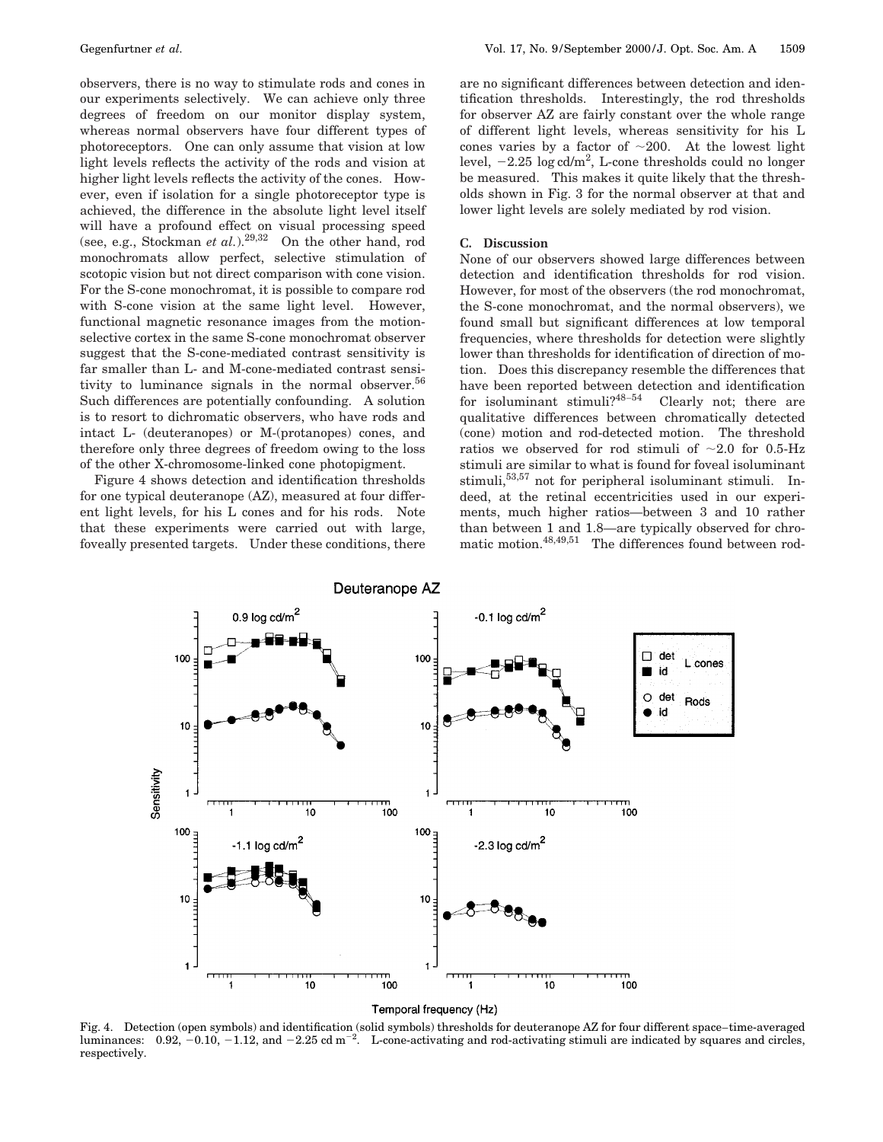observers, there is no way to stimulate rods and cones in our experiments selectively. We can achieve only three degrees of freedom on our monitor display system, whereas normal observers have four different types of photoreceptors. One can only assume that vision at low light levels reflects the activity of the rods and vision at higher light levels reflects the activity of the cones. However, even if isolation for a single photoreceptor type is achieved, the difference in the absolute light level itself will have a profound effect on visual processing speed (see, e.g., Stockman *et al.*).29,32 On the other hand, rod monochromats allow perfect, selective stimulation of scotopic vision but not direct comparison with cone vision. For the S-cone monochromat, it is possible to compare rod with S-cone vision at the same light level. However, functional magnetic resonance images from the motionselective cortex in the same S-cone monochromat observer suggest that the S-cone-mediated contrast sensitivity is far smaller than L- and M-cone-mediated contrast sensitivity to luminance signals in the normal observer.<sup>56</sup> Such differences are potentially confounding. A solution is to resort to dichromatic observers, who have rods and intact L- (deuteranopes) or M-(protanopes) cones, and therefore only three degrees of freedom owing to the loss of the other X-chromosome-linked cone photopigment.

Figure 4 shows detection and identification thresholds for one typical deuteranope (AZ), measured at four different light levels, for his L cones and for his rods. Note that these experiments were carried out with large, foveally presented targets. Under these conditions, there

are no significant differences between detection and identification thresholds. Interestingly, the rod thresholds for observer AZ are fairly constant over the whole range of different light levels, whereas sensitivity for his L cones varies by a factor of  $\sim$ 200. At the lowest light level,  $-2.25 \log \mathrm{cd/m^2}$ , L-cone thresholds could no longer be measured. This makes it quite likely that the thresholds shown in Fig. 3 for the normal observer at that and lower light levels are solely mediated by rod vision.

#### **C. Discussion**

None of our observers showed large differences between detection and identification thresholds for rod vision. However, for most of the observers (the rod monochromat, the S-cone monochromat, and the normal observers), we found small but significant differences at low temporal frequencies, where thresholds for detection were slightly lower than thresholds for identification of direction of motion. Does this discrepancy resemble the differences that have been reported between detection and identification for isoluminant stimuli? $48-54$  Clearly not; there are qualitative differences between chromatically detected (cone) motion and rod-detected motion. The threshold ratios we observed for rod stimuli of  $\sim 2.0$  for 0.5-Hz stimuli are similar to what is found for foveal isoluminant stimuli,<sup>53,57</sup> not for peripheral isoluminant stimuli. Indeed, at the retinal eccentricities used in our experiments, much higher ratios—between 3 and 10 rather than between 1 and 1.8—are typically observed for chromatic motion.<sup>48,49,51</sup> The differences found between rod-



Temporal frequency (Hz)

Fig. 4. Detection (open symbols) and identification (solid symbols) thresholds for deuteranope AZ for four different space–time-averaged luminances:  $0.92, -0.10, -1.12,$  and  $-2.25$  cd m<sup>-2</sup>. L-cone-activating and rod-activating stimuli are indicated by squares and circles, respectively.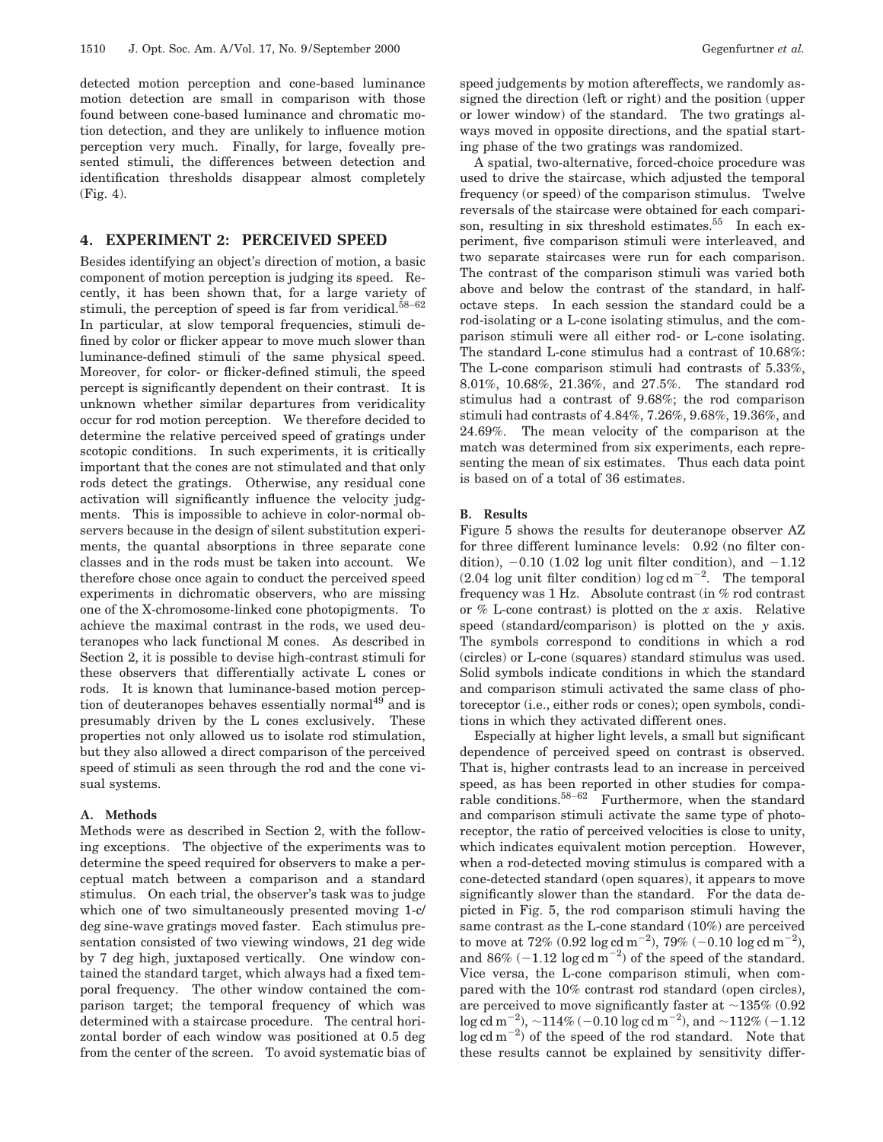detected motion perception and cone-based luminance motion detection are small in comparison with those found between cone-based luminance and chromatic motion detection, and they are unlikely to influence motion perception very much. Finally, for large, foveally presented stimuli, the differences between detection and identification thresholds disappear almost completely (Fig. 4).

## **4. EXPERIMENT 2: PERCEIVED SPEED**

Besides identifying an object's direction of motion, a basic component of motion perception is judging its speed. Recently, it has been shown that, for a large variety of stimuli, the perception of speed is far from veridical. $58-62$ In particular, at slow temporal frequencies, stimuli defined by color or flicker appear to move much slower than luminance-defined stimuli of the same physical speed. Moreover, for color- or flicker-defined stimuli, the speed percept is significantly dependent on their contrast. It is unknown whether similar departures from veridicality occur for rod motion perception. We therefore decided to determine the relative perceived speed of gratings under scotopic conditions. In such experiments, it is critically important that the cones are not stimulated and that only rods detect the gratings. Otherwise, any residual cone activation will significantly influence the velocity judgments. This is impossible to achieve in color-normal observers because in the design of silent substitution experiments, the quantal absorptions in three separate cone classes and in the rods must be taken into account. We therefore chose once again to conduct the perceived speed experiments in dichromatic observers, who are missing one of the X-chromosome-linked cone photopigments. To achieve the maximal contrast in the rods, we used deuteranopes who lack functional M cones. As described in Section 2, it is possible to devise high-contrast stimuli for these observers that differentially activate L cones or rods. It is known that luminance-based motion perception of deuteranopes behaves essentially normal $49$  and is presumably driven by the L cones exclusively. These properties not only allowed us to isolate rod stimulation, but they also allowed a direct comparison of the perceived speed of stimuli as seen through the rod and the cone visual systems.

## **A. Methods**

Methods were as described in Section 2, with the following exceptions. The objective of the experiments was to determine the speed required for observers to make a perceptual match between a comparison and a standard stimulus. On each trial, the observer's task was to judge which one of two simultaneously presented moving 1-c/ deg sine-wave gratings moved faster. Each stimulus presentation consisted of two viewing windows, 21 deg wide by 7 deg high, juxtaposed vertically. One window contained the standard target, which always had a fixed temporal frequency. The other window contained the comparison target; the temporal frequency of which was determined with a staircase procedure. The central horizontal border of each window was positioned at 0.5 deg from the center of the screen. To avoid systematic bias of speed judgements by motion aftereffects, we randomly assigned the direction (left or right) and the position (upper or lower window) of the standard. The two gratings always moved in opposite directions, and the spatial starting phase of the two gratings was randomized.

A spatial, two-alternative, forced-choice procedure was used to drive the staircase, which adjusted the temporal frequency (or speed) of the comparison stimulus. Twelve reversals of the staircase were obtained for each comparison, resulting in six threshold estimates.<sup>55</sup> In each experiment, five comparison stimuli were interleaved, and two separate staircases were run for each comparison. The contrast of the comparison stimuli was varied both above and below the contrast of the standard, in halfoctave steps. In each session the standard could be a rod-isolating or a L-cone isolating stimulus, and the comparison stimuli were all either rod- or L-cone isolating. The standard L-cone stimulus had a contrast of 10.68%: The L-cone comparison stimuli had contrasts of 5.33%, 8.01%, 10.68%, 21.36%, and 27.5%. The standard rod stimulus had a contrast of 9.68%; the rod comparison stimuli had contrasts of 4.84%, 7.26%, 9.68%, 19.36%, and 24.69%. The mean velocity of the comparison at the match was determined from six experiments, each representing the mean of six estimates. Thus each data point is based on of a total of 36 estimates.

## **B. Results**

Figure 5 shows the results for deuteranope observer AZ for three different luminance levels: 0.92 (no filter condition),  $-0.10$  (1.02 log unit filter condition), and  $-1.12$  $(2.04 \text{ log unit filter condition}) \log \text{cd m}^{-2}$ . The temporal frequency was 1 Hz. Absolute contrast (in % rod contrast or % L-cone contrast) is plotted on the *x* axis. Relative speed (standard/comparison) is plotted on the *y* axis. The symbols correspond to conditions in which a rod (circles) or L-cone (squares) standard stimulus was used. Solid symbols indicate conditions in which the standard and comparison stimuli activated the same class of photoreceptor (i.e., either rods or cones); open symbols, conditions in which they activated different ones.

Especially at higher light levels, a small but significant dependence of perceived speed on contrast is observed. That is, higher contrasts lead to an increase in perceived speed, as has been reported in other studies for comparable conditions.58–<sup>62</sup> Furthermore, when the standard and comparison stimuli activate the same type of photoreceptor, the ratio of perceived velocities is close to unity, which indicates equivalent motion perception. However, when a rod-detected moving stimulus is compared with a cone-detected standard (open squares), it appears to move significantly slower than the standard. For the data depicted in Fig. 5, the rod comparison stimuli having the same contrast as the L-cone standard (10%) are perceived to move at  $72\%$  (0.92  $\log$  cd m<sup>-2</sup>),  $79\%$  (-0.10  $\log$  cd m<sup>-2</sup>), and 86%  $(-1.12 \log \text{cd m}^{-2})$  of the speed of the standard. Vice versa, the L-cone comparison stimuli, when compared with the 10% contrast rod standard (open circles), are perceived to move significantly faster at  $\sim$ 135% (0.92)  $\log \mathrm{cd\,m}^{-2}), \, \sim$   $114\%$  (  $-0.10$   $\log \mathrm{cd\,m}^{-2}), \, \mathrm{and} \, \sim$   $112\%$  (  $-1.12$  $\log$  cd m<sup>-2</sup>) of the speed of the rod standard. Note that these results cannot be explained by sensitivity differ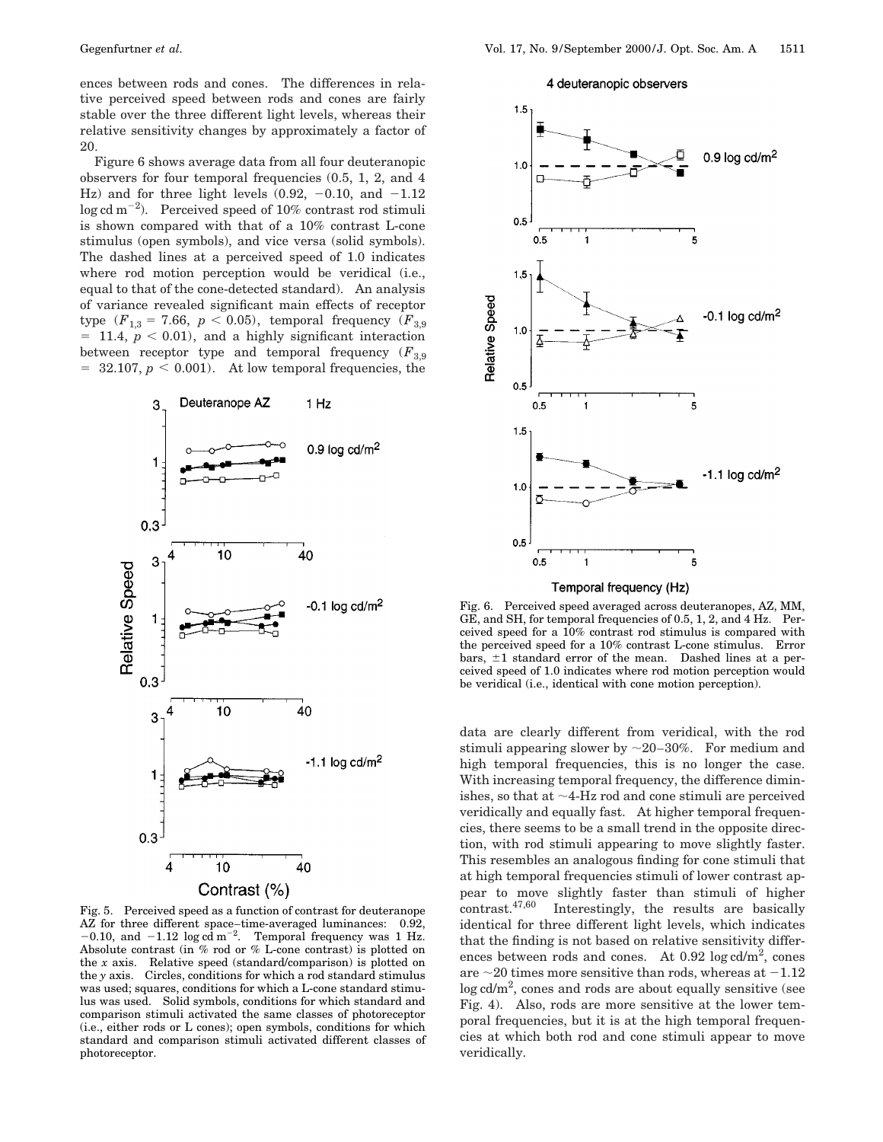ences between rods and cones. The differences in relative perceived speed between rods and cones are fairly stable over the three different light levels, whereas their relative sensitivity changes by approximately a factor of 20.

Figure 6 shows average data from all four deuteranopic observers for four temporal frequencies (0.5, 1, 2, and 4 Hz) and for three light levels  $(0.92, -0.10, \text{ and } -1.12)$  $\log$  cd m<sup>-2</sup>). Perceived speed of 10% contrast rod stimuli is shown compared with that of a 10% contrast L-cone stimulus (open symbols), and vice versa (solid symbols). The dashed lines at a perceived speed of 1.0 indicates where rod motion perception would be veridical (i.e., equal to that of the cone-detected standard). An analysis of variance revealed significant main effects of receptor type  $(F_{1,3} = 7.66, p < 0.05)$ , temporal frequency  $(F_{3,9})$  $= 11.4, p < 0.01$ , and a highly significant interaction between receptor type and temporal frequency  $(F_{3,9})$  $= 32.107, p \le 0.001$ . At low temporal frequencies, the



Fig. 5. Perceived speed as a function of contrast for deuteranope AZ for three different space–time-averaged luminances: 0.92,  $-0.10$ , and  $-1.12 \log \alpha \mathrm{d m}^{-2}$ . Temporal frequency was 1 Hz. Absolute contrast (in % rod or % L-cone contrast) is plotted on the *x* axis. Relative speed (standard/comparison) is plotted on the *y* axis. Circles, conditions for which a rod standard stimulus was used; squares, conditions for which a L-cone standard stimulus was used. Solid symbols, conditions for which standard and comparison stimuli activated the same classes of photoreceptor (i.e., either rods or L cones); open symbols, conditions for which standard and comparison stimuli activated different classes of photoreceptor.

4 deuteranopic observers



Fig. 6. Perceived speed averaged across deuteranopes, AZ, MM, GE, and SH, for temporal frequencies of 0.5, 1, 2, and 4 Hz. Perceived speed for a 10% contrast rod stimulus is compared with the perceived speed for a 10% contrast L-cone stimulus. Error bars,  $\pm 1$  standard error of the mean. Dashed lines at a perceived speed of 1.0 indicates where rod motion perception would be veridical (i.e., identical with cone motion perception).

data are clearly different from veridical, with the rod stimuli appearing slower by  $\sim$  20–30%. For medium and high temporal frequencies, this is no longer the case. With increasing temporal frequency, the difference diminishes, so that at  $\sim$ 4-Hz rod and cone stimuli are perceived veridically and equally fast. At higher temporal frequencies, there seems to be a small trend in the opposite direction, with rod stimuli appearing to move slightly faster. This resembles an analogous finding for cone stimuli that at high temporal frequencies stimuli of lower contrast appear to move slightly faster than stimuli of higher contrast. $47,60$  Interestingly, the results are basically Interestingly, the results are basically identical for three different light levels, which indicates that the finding is not based on relative sensitivity differences between rods and cones. At  $0.92 \log \mathrm{cd/m^2}$ , cones are  $\sim$  20 times more sensitive than rods, whereas at  $-1.12$  $\log$  cd/m<sup>2</sup>, cones and rods are about equally sensitive (see Fig. 4). Also, rods are more sensitive at the lower temporal frequencies, but it is at the high temporal frequencies at which both rod and cone stimuli appear to move veridically.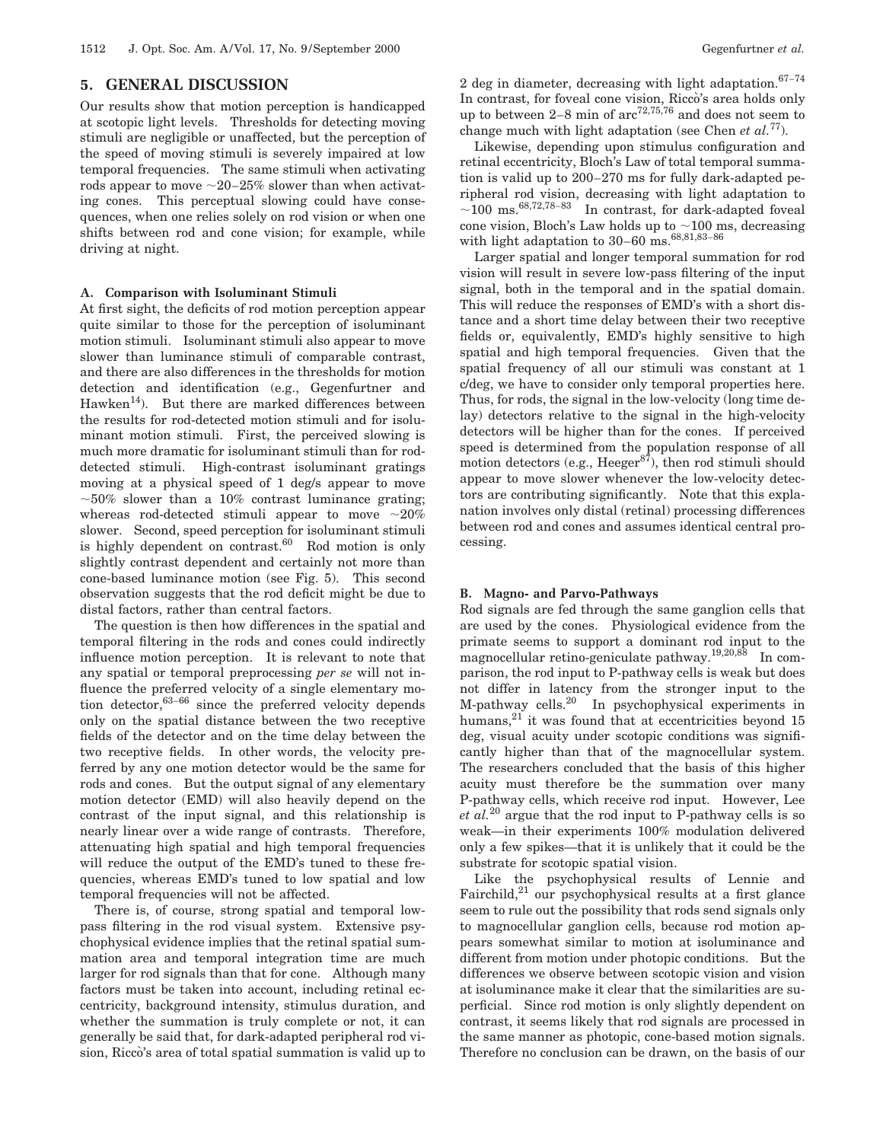# **5. GENERAL DISCUSSION**

Our results show that motion perception is handicapped at scotopic light levels. Thresholds for detecting moving stimuli are negligible or unaffected, but the perception of the speed of moving stimuli is severely impaired at low temporal frequencies. The same stimuli when activating rods appear to move  $\sim$ 20–25% slower than when activating cones. This perceptual slowing could have consequences, when one relies solely on rod vision or when one shifts between rod and cone vision; for example, while driving at night.

## **A. Comparison with Isoluminant Stimuli**

At first sight, the deficits of rod motion perception appear quite similar to those for the perception of isoluminant motion stimuli. Isoluminant stimuli also appear to move slower than luminance stimuli of comparable contrast, and there are also differences in the thresholds for motion detection and identification (e.g., Gegenfurtner and Hawken<sup>14</sup>). But there are marked differences between the results for rod-detected motion stimuli and for isoluminant motion stimuli. First, the perceived slowing is much more dramatic for isoluminant stimuli than for roddetected stimuli. High-contrast isoluminant gratings moving at a physical speed of 1 deg/s appear to move  $\sim$ 50% slower than a 10% contrast luminance grating; whereas rod-detected stimuli appear to move  $\sim 20\%$ slower. Second, speed perception for isoluminant stimuli is highly dependent on contrast. $60$  Rod motion is only slightly contrast dependent and certainly not more than cone-based luminance motion (see Fig. 5). This second observation suggests that the rod deficit might be due to distal factors, rather than central factors.

The question is then how differences in the spatial and temporal filtering in the rods and cones could indirectly influence motion perception. It is relevant to note that any spatial or temporal preprocessing *per se* will not influence the preferred velocity of a single elementary motion detector,  $63-66$  since the preferred velocity depends only on the spatial distance between the two receptive fields of the detector and on the time delay between the two receptive fields. In other words, the velocity preferred by any one motion detector would be the same for rods and cones. But the output signal of any elementary motion detector (EMD) will also heavily depend on the contrast of the input signal, and this relationship is nearly linear over a wide range of contrasts. Therefore, attenuating high spatial and high temporal frequencies will reduce the output of the EMD's tuned to these frequencies, whereas EMD's tuned to low spatial and low temporal frequencies will not be affected.

There is, of course, strong spatial and temporal lowpass filtering in the rod visual system. Extensive psychophysical evidence implies that the retinal spatial summation area and temporal integration time are much larger for rod signals than that for cone. Although many factors must be taken into account, including retinal eccentricity, background intensity, stimulus duration, and whether the summation is truly complete or not, it can generally be said that, for dark-adapted peripheral rod vision, Ricco's area of total spatial summation is valid up to

Likewise, depending upon stimulus configuration and retinal eccentricity, Bloch's Law of total temporal summation is valid up to 200–270 ms for fully dark-adapted peripheral rod vision, decreasing with light adaptation to  $\sim$ 100 ms.<sup>68,72,78–83</sup> In contrast, for dark-adapted foveal cone vision, Bloch's Law holds up to  $\sim\!100$  ms, decreasing with light adaptation to 30–60 ms.68,81,83–<sup>86</sup>

Larger spatial and longer temporal summation for rod vision will result in severe low-pass filtering of the input signal, both in the temporal and in the spatial domain. This will reduce the responses of EMD's with a short distance and a short time delay between their two receptive fields or, equivalently, EMD's highly sensitive to high spatial and high temporal frequencies. Given that the spatial frequency of all our stimuli was constant at 1 c/deg, we have to consider only temporal properties here. Thus, for rods, the signal in the low-velocity (long time delay) detectors relative to the signal in the high-velocity detectors will be higher than for the cones. If perceived speed is determined from the population response of all motion detectors (e.g., Heeger $s^{\tilde{z}}$ ), then rod stimuli should appear to move slower whenever the low-velocity detectors are contributing significantly. Note that this explanation involves only distal (retinal) processing differences between rod and cones and assumes identical central processing.

## **B. Magno- and Parvo-Pathways**

Rod signals are fed through the same ganglion cells that are used by the cones. Physiological evidence from the primate seems to support a dominant rod input to the magnocellular retino-geniculate pathway.19,20,88 In comparison, the rod input to P-pathway cells is weak but does not differ in latency from the stronger input to the M-pathway cells.20 In psychophysical experiments in humans, $^{21}$  it was found that at eccentricities beyond 15 deg, visual acuity under scotopic conditions was significantly higher than that of the magnocellular system. The researchers concluded that the basis of this higher acuity must therefore be the summation over many P-pathway cells, which receive rod input. However, Lee *et al.*<sup>20</sup> argue that the rod input to P-pathway cells is so weak—in their experiments 100% modulation delivered only a few spikes—that it is unlikely that it could be the substrate for scotopic spatial vision.

Like the psychophysical results of Lennie and Fairchild, $^{21}$  our psychophysical results at a first glance seem to rule out the possibility that rods send signals only to magnocellular ganglion cells, because rod motion appears somewhat similar to motion at isoluminance and different from motion under photopic conditions. But the differences we observe between scotopic vision and vision at isoluminance make it clear that the similarities are superficial. Since rod motion is only slightly dependent on contrast, it seems likely that rod signals are processed in the same manner as photopic, cone-based motion signals. Therefore no conclusion can be drawn, on the basis of our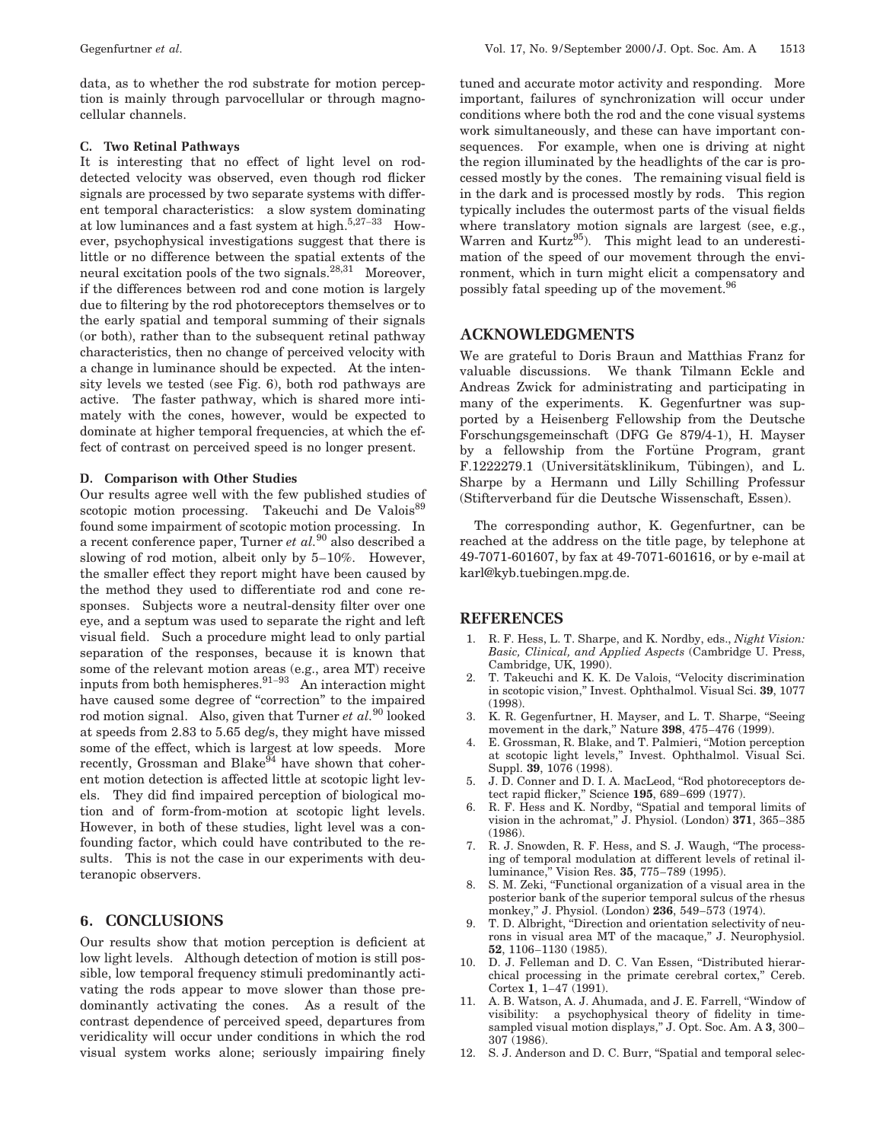data, as to whether the rod substrate for motion perception is mainly through parvocellular or through magnocellular channels.

#### **C. Two Retinal Pathways**

It is interesting that no effect of light level on roddetected velocity was observed, even though rod flicker signals are processed by two separate systems with different temporal characteristics: a slow system dominating at low luminances and a fast system at high. $5,27-33$  However, psychophysical investigations suggest that there is little or no difference between the spatial extents of the neural excitation pools of the two signals.28,31 Moreover, if the differences between rod and cone motion is largely due to filtering by the rod photoreceptors themselves or to the early spatial and temporal summing of their signals (or both), rather than to the subsequent retinal pathway characteristics, then no change of perceived velocity with a change in luminance should be expected. At the intensity levels we tested (see Fig. 6), both rod pathways are active. The faster pathway, which is shared more intimately with the cones, however, would be expected to dominate at higher temporal frequencies, at which the effect of contrast on perceived speed is no longer present.

#### **D. Comparison with Other Studies**

Our results agree well with the few published studies of scotopic motion processing. Takeuchi and De Valois<sup>89</sup> found some impairment of scotopic motion processing. In a recent conference paper, Turner *et al.*<sup>90</sup> also described a slowing of rod motion, albeit only by 5–10%. However, the smaller effect they report might have been caused by the method they used to differentiate rod and cone responses. Subjects wore a neutral-density filter over one eye, and a septum was used to separate the right and left visual field. Such a procedure might lead to only partial separation of the responses, because it is known that some of the relevant motion areas (e.g., area MT) receive inputs from both hemispheres.  $91-93$  An interaction might have caused some degree of "correction" to the impaired rod motion signal. Also, given that Turner *et al.*<sup>90</sup> looked at speeds from 2.83 to 5.65 deg/s, they might have missed some of the effect, which is largest at low speeds. More recently, Grossman and Blake<sup>94</sup> have shown that coherent motion detection is affected little at scotopic light levels. They did find impaired perception of biological motion and of form-from-motion at scotopic light levels. However, in both of these studies, light level was a confounding factor, which could have contributed to the results. This is not the case in our experiments with deuteranopic observers.

# **6. CONCLUSIONS**

Our results show that motion perception is deficient at low light levels. Although detection of motion is still possible, low temporal frequency stimuli predominantly activating the rods appear to move slower than those predominantly activating the cones. As a result of the contrast dependence of perceived speed, departures from veridicality will occur under conditions in which the rod visual system works alone; seriously impairing finely tuned and accurate motor activity and responding. More important, failures of synchronization will occur under conditions where both the rod and the cone visual systems work simultaneously, and these can have important consequences. For example, when one is driving at night the region illuminated by the headlights of the car is processed mostly by the cones. The remaining visual field is in the dark and is processed mostly by rods. This region typically includes the outermost parts of the visual fields where translatory motion signals are largest (see, e.g., Warren and Kurtz<sup>95</sup>). This might lead to an underestimation of the speed of our movement through the environment, which in turn might elicit a compensatory and possibly fatal speeding up of the movement.96

# **ACKNOWLEDGMENTS**

We are grateful to Doris Braun and Matthias Franz for valuable discussions. We thank Tilmann Eckle and Andreas Zwick for administrating and participating in many of the experiments. K. Gegenfurtner was supported by a Heisenberg Fellowship from the Deutsche Forschungsgemeinschaft (DFG Ge 879/4-1), H. Mayser by a fellowship from the Fortune Program, grant F.1222279.1 (Universitätsklinikum, Tübingen), and L. Sharpe by a Hermann und Lilly Schilling Professur (Stifterverband für die Deutsche Wissenschaft, Essen).

The corresponding author, K. Gegenfurtner, can be reached at the address on the title page, by telephone at 49-7071-601607, by fax at 49-7071-601616, or by e-mail at karl@kyb.tuebingen.mpg.de.

## **REFERENCES**

- 1. R. F. Hess, L. T. Sharpe, and K. Nordby, eds., *Night Vision: Basic, Clinical, and Applied Aspects* (Cambridge U. Press, Cambridge, UK, 1990).
- 2. T. Takeuchi and K. K. De Valois, ''Velocity discrimination in scotopic vision,'' Invest. Ophthalmol. Visual Sci. **39**, 1077 (1998).
- 3. K. R. Gegenfurtner, H. Mayser, and L. T. Sharpe, ''Seeing movement in the dark,'' Nature **398**, 475–476 (1999).
- 4. E. Grossman, R. Blake, and T. Palmieri, ''Motion perception at scotopic light levels,'' Invest. Ophthalmol. Visual Sci. Suppl. **39**, 1076 (1998).
- 5. J. D. Conner and D. I. A. MacLeod, ''Rod photoreceptors detect rapid flicker,'' Science **195**, 689–699 (1977).
- 6. R. F. Hess and K. Nordby, ''Spatial and temporal limits of vision in the achromat,'' J. Physiol. (London) **371**, 365–385 (1986).
- 7. R. J. Snowden, R. F. Hess, and S. J. Waugh, ''The processing of temporal modulation at different levels of retinal illuminance,'' Vision Res. **35**, 775–789 (1995).
- 8. S. M. Zeki, "Functional organization of a visual area in the posterior bank of the superior temporal sulcus of the rhesus monkey,'' J. Physiol. (London) **236**, 549–573 (1974).
- 9. T. D. Albright, "Direction and orientation selectivity of neurons in visual area MT of the macaque,'' J. Neurophysiol. **52**, 1106–1130 (1985).
- 10. D. J. Felleman and D. C. Van Essen, ''Distributed hierarchical processing in the primate cerebral cortex,'' Cereb. Cortex **1**, 1–47 (1991).
- 11. A. B. Watson, A. J. Ahumada, and J. E. Farrell, ''Window of visibility: a psychophysical theory of fidelity in timesampled visual motion displays,'' J. Opt. Soc. Am. A **3**, 300– 307 (1986).
- 12. S. J. Anderson and D. C. Burr, "Spatial and temporal selec-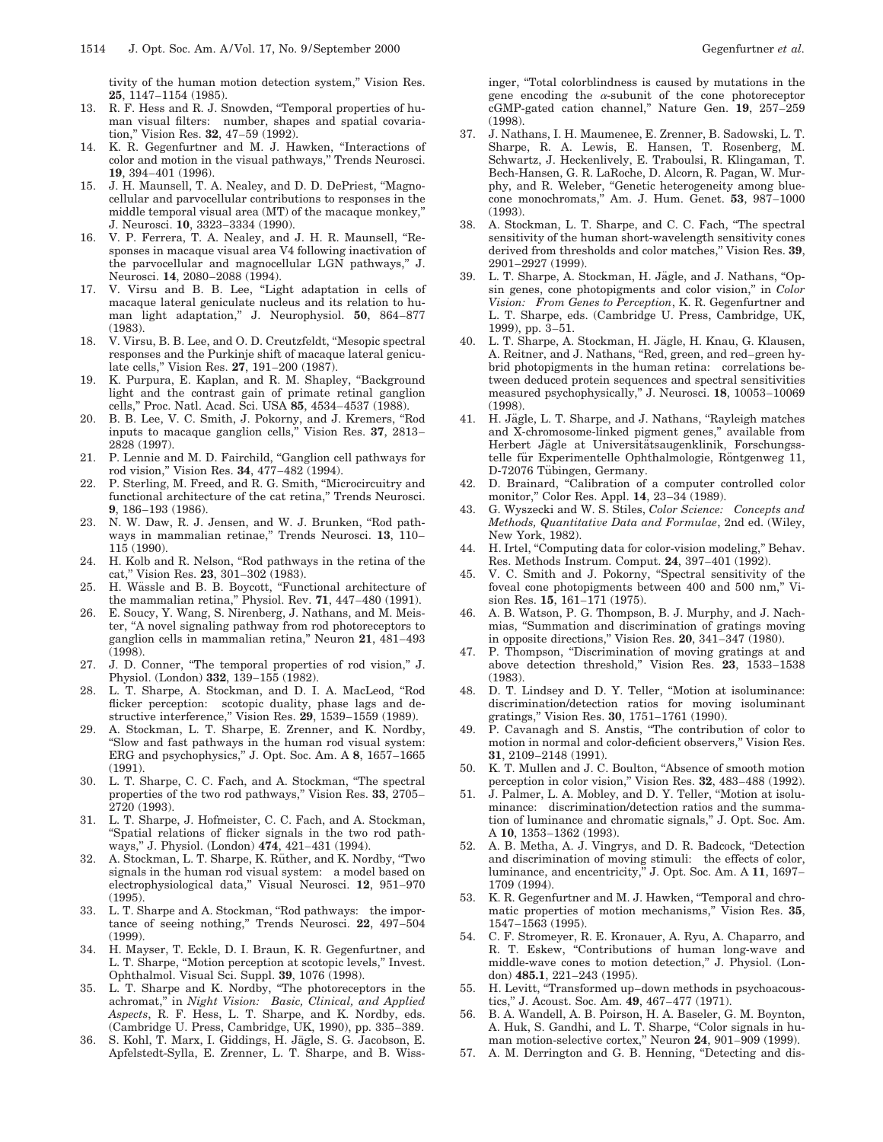tivity of the human motion detection system,'' Vision Res. **25**, 1147–1154 (1985).

- 13. R. F. Hess and R. J. Snowden, ''Temporal properties of human visual filters: number, shapes and spatial covariation,'' Vision Res. **32**, 47–59 (1992).
- 14. K. R. Gegenfurtner and M. J. Hawken, ''Interactions of color and motion in the visual pathways,'' Trends Neurosci. **19**, 394–401 (1996).
- 15. J. H. Maunsell, T. A. Nealey, and D. D. DePriest, ''Magnocellular and parvocellular contributions to responses in the middle temporal visual area (MT) of the macaque monkey,'' J. Neurosci. **10**, 3323–3334 (1990).
- 16. V. P. Ferrera, T. A. Nealey, and J. H. R. Maunsell, ''Responses in macaque visual area V4 following inactivation of the parvocellular and magnocellular LGN pathways,'' J. Neurosci. **14**, 2080–2088 (1994).
- 17. V. Virsu and B. B. Lee, ''Light adaptation in cells of macaque lateral geniculate nucleus and its relation to human light adaptation,'' J. Neurophysiol. **50**, 864–877 (1983).
- 18. V. Virsu, B. B. Lee, and O. D. Creutzfeldt, ''Mesopic spectral responses and the Purkinje shift of macaque lateral geniculate cells,'' Vision Res. **27**, 191–200 (1987).
- 19. K. Purpura, E. Kaplan, and R. M. Shapley, "Background light and the contrast gain of primate retinal ganglion cells,'' Proc. Natl. Acad. Sci. USA **85**, 4534–4537 (1988).
- 20. B. B. Lee, V. C. Smith, J. Pokorny, and J. Kremers, ''Rod inputs to macaque ganglion cells,'' Vision Res. **37**, 2813– 2828 (1997).
- 21. P. Lennie and M. D. Fairchild, ''Ganglion cell pathways for rod vision,'' Vision Res. **34**, 477–482 (1994).
- 22. P. Sterling, M. Freed, and R. G. Smith, ''Microcircuitry and functional architecture of the cat retina,'' Trends Neurosci. **9**, 186–193 (1986).
- 23. N. W. Daw, R. J. Jensen, and W. J. Brunken, "Rod pathways in mammalian retinae,'' Trends Neurosci. **13**, 110– 115 (1990).
- 24. H. Kolb and R. Nelson, ''Rod pathways in the retina of the cat,'' Vision Res. **23**, 301–302 (1983).
- 25. H. Wässle and B. B. Boycott, "Functional architecture of the mammalian retina,'' Physiol. Rev. **71**, 447–480 (1991).
- 26. E. Soucy, Y. Wang, S. Nirenberg, J. Nathans, and M. Meister, ''A novel signaling pathway from rod photoreceptors to ganglion cells in mammalian retina,'' Neuron **21**, 481–493 (1998).
- 27. J. D. Conner, ''The temporal properties of rod vision,'' J. Physiol. (London) **332**, 139–155 (1982).
- 28. L. T. Sharpe, A. Stockman, and D. I. A. MacLeod, ''Rod flicker perception: scotopic duality, phase lags and destructive interference,'' Vision Res. **29**, 1539–1559 (1989).
- 29. A. Stockman, L. T. Sharpe, E. Zrenner, and K. Nordby, ''Slow and fast pathways in the human rod visual system: ERG and psychophysics,'' J. Opt. Soc. Am. A **8**, 1657–1665 (1991).
- 30. L. T. Sharpe, C. C. Fach, and A. Stockman, ''The spectral properties of the two rod pathways,'' Vision Res. **33**, 2705– 2720 (1993).
- 31. L. T. Sharpe, J. Hofmeister, C. C. Fach, and A. Stockman, ''Spatial relations of flicker signals in the two rod pathways,'' J. Physiol. (London) **474**, 421–431 (1994).
- 32. A. Stockman, L. T. Sharpe, K. Rüther, and K. Nordby, "Two signals in the human rod visual system: a model based on electrophysiological data,'' Visual Neurosci. **12**, 951–970 (1995).
- 33. L. T. Sharpe and A. Stockman, ''Rod pathways: the importance of seeing nothing,'' Trends Neurosci. **22**, 497–504 (1999).
- 34. H. Mayser, T. Eckle, D. I. Braun, K. R. Gegenfurtner, and L. T. Sharpe, ''Motion perception at scotopic levels,'' Invest. Ophthalmol. Visual Sci. Suppl. **39**, 1076 (1998).
- 35. L. T. Sharpe and K. Nordby, ''The photoreceptors in the achromat,'' in *Night Vision: Basic, Clinical, and Applied Aspects*, R. F. Hess, L. T. Sharpe, and K. Nordby, eds. (Cambridge U. Press, Cambridge, UK, 1990), pp. 335–389.
- 36. S. Kohl, T. Marx, I. Giddings, H. Jägle, S. G. Jacobson, E. Apfelstedt-Sylla, E. Zrenner, L. T. Sharpe, and B. Wiss-

inger, ''Total colorblindness is caused by mutations in the gene encoding the  $\alpha$ -subunit of the cone photoreceptor cGMP-gated cation channel,'' Nature Gen. **19**, 257–259 (1998).

- 37. J. Nathans, I. H. Maumenee, E. Zrenner, B. Sadowski, L. T. Sharpe, R. A. Lewis, E. Hansen, T. Rosenberg, M. Schwartz, J. Heckenlively, E. Traboulsi, R. Klingaman, T. Bech-Hansen, G. R. LaRoche, D. Alcorn, R. Pagan, W. Murphy, and R. Weleber, ''Genetic heterogeneity among bluecone monochromats,'' Am. J. Hum. Genet. **53**, 987–1000 (1993).
- 38. A. Stockman, L. T. Sharpe, and C. C. Fach, ''The spectral sensitivity of the human short-wavelength sensitivity cones derived from thresholds and color matches,'' Vision Res. **39**, 2901–2927 (1999).
- 39. L. T. Sharpe, A. Stockman, H. Jägle, and J. Nathans, "Opsin genes, cone photopigments and color vision,'' in *Color Vision: From Genes to Perception*, K. R. Gegenfurtner and L. T. Sharpe, eds. (Cambridge U. Press, Cambridge, UK, 1999), pp. 3–51.
- 40. L. T. Sharpe, A. Stockman, H. Jägle, H. Knau, G. Klausen, A. Reitner, and J. Nathans, ''Red, green, and red–green hybrid photopigments in the human retina: correlations between deduced protein sequences and spectral sensitivities measured psychophysically,'' J. Neurosci. **18**, 10053–10069 (1998).
- 41. H. Jägle, L. T. Sharpe, and J. Nathans, "Rayleigh matches and X-chromosome-linked pigment genes,'' available from Herbert Jägle at Universitätsaugenklinik, Forschungsstelle für Experimentelle Ophthalmologie, Röntgenweg 11, D-72076 Tübingen, Germany.
- 42. D. Brainard, "Calibration of a computer controlled color monitor,'' Color Res. Appl. **14**, 23–34 (1989).
- 43. G. Wyszecki and W. S. Stiles, *Color Science: Concepts and Methods, Quantitative Data and Formulae*, 2nd ed. (Wiley, New York, 1982).
- 44. H. Irtel, "Computing data for color-vision modeling," Behav. Res. Methods Instrum. Comput. **24**, 397–401 (1992).
- 45. V. C. Smith and J. Pokorny, ''Spectral sensitivity of the foveal cone photopigments between 400 and 500 nm,'' Vision Res. **15**, 161–171 (1975).
- 46. A. B. Watson, P. G. Thompson, B. J. Murphy, and J. Nachmias, ''Summation and discrimination of gratings moving in opposite directions,'' Vision Res. **20**, 341–347 (1980).
- 47. P. Thompson, ''Discrimination of moving gratings at and above detection threshold,'' Vision Res. **23**, 1533–1538 (1983).
- 48. D. T. Lindsey and D. Y. Teller, ''Motion at isoluminance: discrimination/detection ratios for moving isoluminant gratings,'' Vision Res. **30**, 1751–1761 (1990).
- 49. P. Cavanagh and S. Anstis, ''The contribution of color to motion in normal and color-deficient observers,'' Vision Res. **31**, 2109–2148 (1991).
- 50. K. T. Mullen and J. C. Boulton, ''Absence of smooth motion perception in color vision,'' Vision Res. **32**, 483–488 (1992).
- 51. J. Palmer, L. A. Mobley, and D. Y. Teller, ''Motion at isoluminance: discrimination/detection ratios and the summation of luminance and chromatic signals,'' J. Opt. Soc. Am. A **10**, 1353–1362 (1993).
- 52. A. B. Metha, A. J. Vingrys, and D. R. Badcock, ''Detection and discrimination of moving stimuli: the effects of color, luminance, and encentricity,'' J. Opt. Soc. Am. A **11**, 1697– 1709 (1994).
- 53. K. R. Gegenfurtner and M. J. Hawken, ''Temporal and chromatic properties of motion mechanisms,'' Vision Res. **35**, 1547–1563 (1995).
- 54. C. F. Stromeyer, R. E. Kronauer, A. Ryu, A. Chaparro, and R. T. Eskew, ''Contributions of human long-wave and middle-wave cones to motion detection,'' J. Physiol. (London) **485.1**, 221–243 (1995).
- 55. H. Levitt, ''Transformed up–down methods in psychoacoustics,'' J. Acoust. Soc. Am. **49**, 467–477 (1971).
- 56. B. A. Wandell, A. B. Poirson, H. A. Baseler, G. M. Boynton, A. Huk, S. Gandhi, and L. T. Sharpe, ''Color signals in human motion-selective cortex,'' Neuron **24**, 901–909 (1999).
- 57. A. M. Derrington and G. B. Henning, "Detecting and dis-